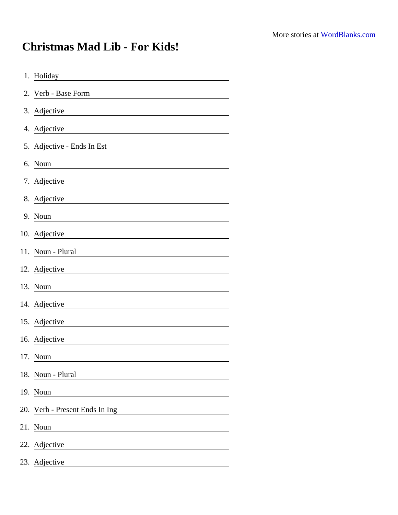## Christmas Mad Lib - For Kids!

| 1. Holiday                                                               |
|--------------------------------------------------------------------------|
| 2. Verb - Base Form<br><u> 1989 - Johann Barbara, martxa alemaniar a</u> |
| 3. Adjective                                                             |
| 4. Adjective                                                             |
| 5. Adjective - Ends In Est                                               |
| 6. Noun                                                                  |
| 7. Adjective                                                             |
| 8. Adjective                                                             |
| 9. Noun                                                                  |
| 10. Adjective                                                            |
| 11. Noun - Plural                                                        |
| 12. Adjective                                                            |
| 13. Noun                                                                 |
| 14. Adjective                                                            |
| 15. Adjective                                                            |
| 16. Adjective                                                            |
| 17. Noun                                                                 |
| 18. Noun - Plural                                                        |
| 19. Noun                                                                 |
| 20. Verb - Present Ends In Ing                                           |
| 21. Noun                                                                 |
| 22. Adjective                                                            |
| 23. Adjective                                                            |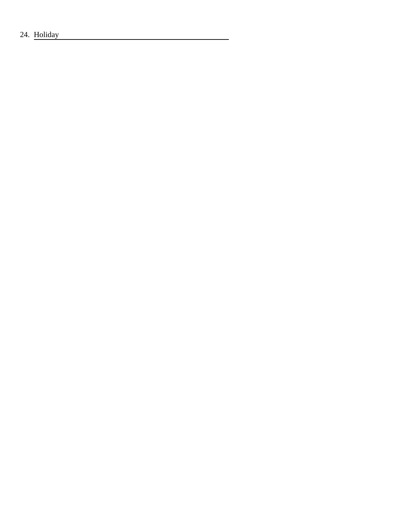24. Holiday